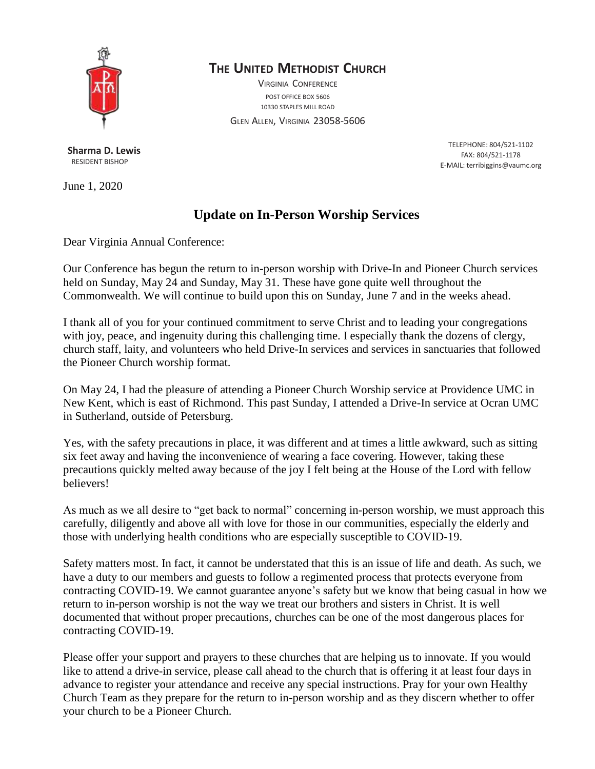

# **THE UNITED METHODIST CHURCH**

VIRGINIA CONFERENCE POST OFFICE BOX 5606 10330 STAPLES MILL ROAD

GLEN ALLEN, VIRGINIA 23058-5606

**Sharma D. Lewis** RESIDENT BISHOP

June 1, 2020

TELEPHONE: 804/521-1102 FAX: 804/521-1178 E-MAIL: [terribiggins@vaumc.org](mailto:terribiggins@vaumc.org)

# **Update on In-Person Worship Services**

Dear Virginia Annual Conference:

Our Conference has begun the return to in-person worship with Drive-In and Pioneer Church services held on Sunday, May 24 and Sunday, May 31. These have gone quite well throughout the Commonwealth. We will continue to build upon this on Sunday, June 7 and in the weeks ahead.

I thank all of you for your continued commitment to serve Christ and to leading your congregations with joy, peace, and ingenuity during this challenging time. I especially thank the dozens of clergy, church staff, laity, and volunteers who held Drive-In services and services in sanctuaries that followed the Pioneer Church worship format.

On May 24, I had the pleasure of attending a Pioneer Church Worship service at Providence UMC in New Kent, which is east of Richmond. This past Sunday, I attended a Drive-In service at Ocran UMC in Sutherland, outside of Petersburg.

Yes, with the safety precautions in place, it was different and at times a little awkward, such as sitting six feet away and having the inconvenience of wearing a face covering. However, taking these precautions quickly melted away because of the joy I felt being at the House of the Lord with fellow believers!

As much as we all desire to "get back to normal" concerning in-person worship, we must approach this carefully, diligently and above all with love for those in our communities, especially the elderly and those with underlying health conditions who are especially susceptible to COVID-19.

Safety matters most. In fact, it cannot be understated that this is an issue of life and death. As such, we have a duty to our members and guests to follow a regimented process that protects everyone from contracting COVID-19. We cannot guarantee anyone's safety but we know that being casual in how we return to in-person worship is not the way we treat our brothers and sisters in Christ. It is well documented that without proper precautions, churches can be one of the most dangerous places for contracting COVID-19.

Please offer your support and prayers to these churches that are helping us to innovate. If you would like to attend a drive-in service, please call ahead to the church that is offering it at least four days in advance to register your attendance and receive any special instructions. Pray for your own Healthy Church Team as they prepare for the return to in-person worship and as they discern whether to offer your church to be a Pioneer Church.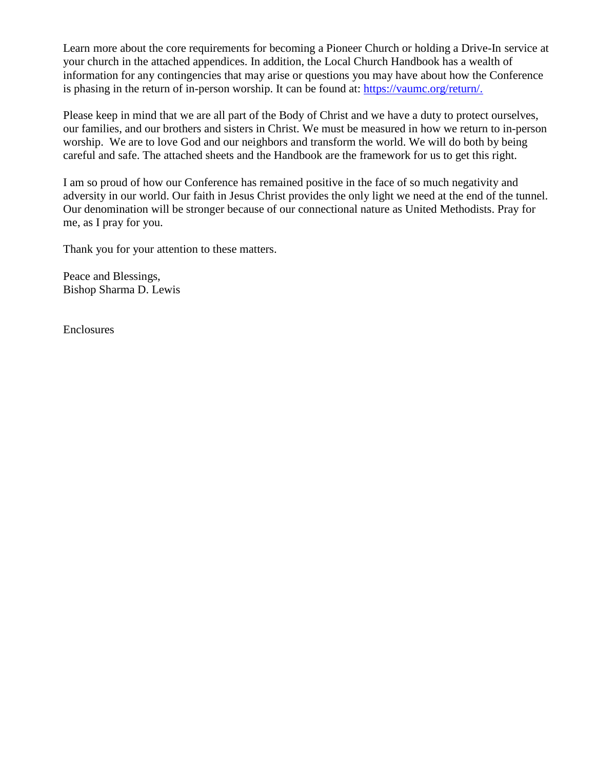Learn more about the core requirements for becoming a Pioneer Church or holding a Drive-In service at your church in the attached appendices. In addition, the Local Church Handbook has a wealth of information for any contingencies that may arise or questions you may have about how the Conference is phasing in the return of in-person worship. It can be found at: [https://vaumc.org/return/.](https://vaumc.org/return/)

Please keep in mind that we are all part of the Body of Christ and we have a duty to protect ourselves, our families, and our brothers and sisters in Christ. We must be measured in how we return to in-person worship. We are to love God and our neighbors and transform the world. We will do both by being careful and safe. The attached sheets and the Handbook are the framework for us to get this right.

I am so proud of how our Conference has remained positive in the face of so much negativity and adversity in our world. Our faith in Jesus Christ provides the only light we need at the end of the tunnel. Our denomination will be stronger because of our connectional nature as United Methodists. Pray for me, as I pray for you.

Thank you for your attention to these matters.

Peace and Blessings, Bishop Sharma D. Lewis

Enclosures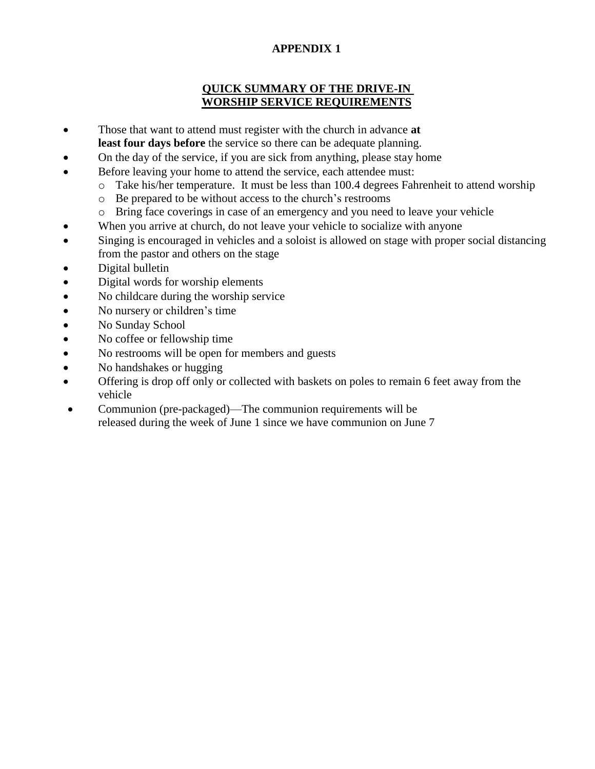## **APPENDIX 1**

#### **QUICK SUMMARY OF THE DRIVE-IN WORSHIP SERVICE REQUIREMENTS**

- Those that want to attend must register with the church in advance **at least four days before** the service so there can be adequate planning.
- On the day of the service, if you are sick from anything, please stay home
- Before leaving your home to attend the service, each attendee must:
	- o Take his/her temperature. It must be less than 100.4 degrees Fahrenheit to attend worship
	- o Be prepared to be without access to the church's restrooms
	- o Bring face coverings in case of an emergency and you need to leave your vehicle
- When you arrive at church, do not leave your vehicle to socialize with anyone
- Singing is encouraged in vehicles and a soloist is allowed on stage with proper social distancing from the pastor and others on the stage
- Digital bulletin
- Digital words for worship elements
- No childcare during the worship service
- No nursery or children's time
- No Sunday School
- No coffee or fellowship time
- No restrooms will be open for members and guests
- No handshakes or hugging
- Offering is drop off only or collected with baskets on poles to remain 6 feet away from the vehicle
- Communion (pre-packaged)—The communion requirements will be released during the week of June 1 since we have communion on June 7